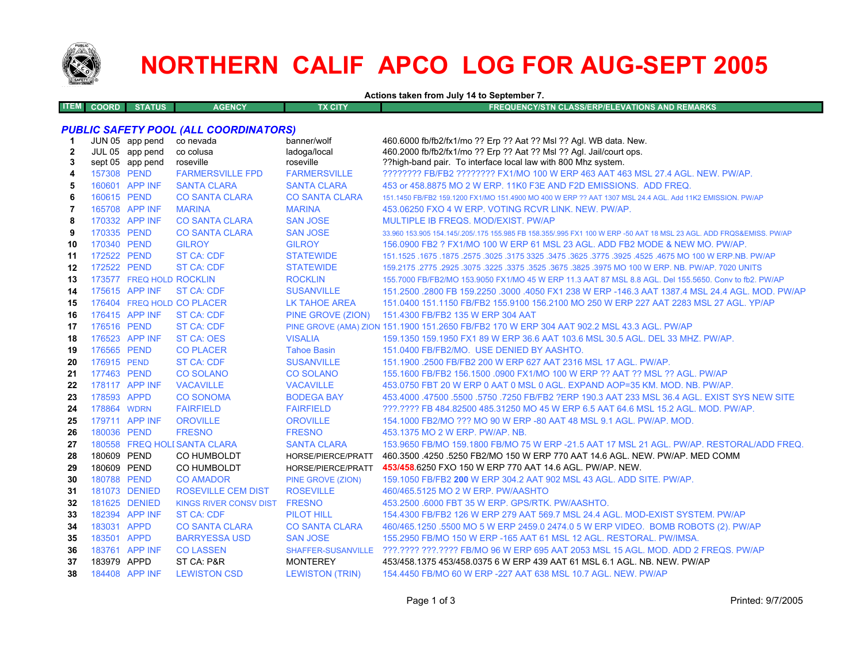

# **NORTHERN CALIF APCO LOG FOR AUG-SEPT 2005**

**Actions taken from July 14 to September 7.**

| TEM . | COORD | <b>STATUS</b> | <b>AGENCY</b> | <b>TX CITY</b> | <b>EQUENCY/STN CLASS/ERP/ELEVATIONS AND REMARKS</b><br>ĸĦ |
|-------|-------|---------------|---------------|----------------|-----------------------------------------------------------|
|       |       |               |               |                |                                                           |

### *PUBLIC SAFETY POOL (ALL COORDINATORS)*

| 1<br>$\mathbf{2}$<br>3 |             | JUN 05 app pend<br>JUL 05 app pend<br>sept 05 app pend | co nevada<br>co colusa<br>roseville | banner/wolf<br>ladoga/local<br>roseville | 460.6000 fb/fb2/fx1/mo ?? Erp ?? Aat ?? Msl ?? Agl. WB data. New.<br>460.2000 fb/fb2/fx1/mo ?? Erp ?? Aat ?? Msl ?? Agl. Jail/court ops.<br>??high-band pair. To interface local law with 800 Mhz system. |
|------------------------|-------------|--------------------------------------------------------|-------------------------------------|------------------------------------------|-----------------------------------------------------------------------------------------------------------------------------------------------------------------------------------------------------------|
| 4                      | 157308 PEND |                                                        | <b>FARMERSVILLE FPD</b>             | <b>FARMERSVILLE</b>                      | ???????? FB/FB2 ???????? FX1/MO 100 W ERP 463 AAT 463 MSL 27.4 AGL, NEW, PW/AP,                                                                                                                           |
| 5                      |             | 160601 APP INF                                         | <b>SANTA CLARA</b>                  | <b>SANTA CLARA</b>                       | 453 or 458,8875 MO 2 W ERP, 11K0 F3E AND F2D EMISSIONS. ADD FREQ.                                                                                                                                         |
| 6                      | 160615 PEND |                                                        | <b>CO SANTA CLARA</b>               | <b>CO SANTA CLARA</b>                    | 151.1450 FB/FB2 159.1200 FX1/MO 151.4900 MO 400 W ERP ?? AAT 1307 MSL 24.4 AGL, Add 11K2 EMISSION, PW/AP                                                                                                  |
| 7                      |             | 165708 APP INF                                         | <b>MARINA</b>                       | <b>MARINA</b>                            | 453.06250 FXO 4 W ERP. VOTING RCVR LINK. NEW. PW/AP.                                                                                                                                                      |
| 8                      |             | 170332 APP INF                                         | <b>CO SANTA CLARA</b>               | <b>SAN JOSE</b>                          | MULTIPLE IB FREQS, MOD/EXIST, PW/AP                                                                                                                                                                       |
| 9                      | 170335 PEND |                                                        | <b>CO SANTA CLARA</b>               | <b>SAN JOSE</b>                          | 33.960 153.905 154.145/.205/.175 155.985 FB 158.355/.995 FX1 100 W ERP -50 AAT 18 MSL 23 AGL. ADD FRQS&EMISS. PW/AP                                                                                       |
| 10                     | 170340 PEND |                                                        | <b>GILROY</b>                       | <b>GILROY</b>                            | 156,0900 FB2 ? FX1/MO 100 W ERP 61 MSL 23 AGL, ADD FB2 MODE & NEW MO, PW/AP,                                                                                                                              |
| 11                     | 172522 PEND |                                                        | <b>ST CA: CDF</b>                   | <b>STATEWIDE</b>                         | 151.1525 .1675 NO 100 W ERP.NB. PW/AP .2575 .3625 .3475 .3625 .3475 .3625 .3775 .3025 .1675 .1675 .2575 .1675                                                                                             |
| 12                     | 172522 PEND |                                                        | <b>ST CA: CDF</b>                   | <b>STATEWIDE</b>                         | 159,2175, 2775, 2925, 3075, 3225, 3375, 3525, 3675, 3825, 3975 MO 100 W ERP, NB, PW/AP, 7020 UNITS                                                                                                        |
| 13                     |             | 173577 FREQ HOLD ROCKLIN                               |                                     | <b>ROCKLIN</b>                           | 155.7000 FB/FB2/MO 153.9050 FX1/MO 45 W ERP 11.3 AAT 87 MSL 8.8 AGL. Del 155.5650. Conv to fb2. PW/AP                                                                                                     |
| 14                     |             | 175615 APP INF                                         | <b>ST CA: CDF</b>                   | <b>SUSANVILLE</b>                        | 151.2500 .2800 FB 159.2250 .3000 .4050 FX1 238 W ERP -146.3 AAT 1387.4 MSL 24.4 AGL. MOD. PW/AP                                                                                                           |
| 15                     |             |                                                        | 176404 FREQ HOLD CO PLACER          | <b>LK TAHOE AREA</b>                     | 151.0400 151.1150 FB/FB2 155.9100 156.2100 MO 250 W ERP 227 AAT 2283 MSL 27 AGL. YP/AP                                                                                                                    |
| 16                     |             | 176415 APP INF                                         | <b>ST CA: CDF</b>                   | PINE GROVE (ZION)                        | 151.4300 FB/FB2 135 W ERP 304 AAT                                                                                                                                                                         |
| 17                     | 176516 PEND |                                                        | <b>ST CA: CDF</b>                   |                                          | PINE GROVE (AMA) ZION 151.1900 151.2650 FB/FB2 170 W ERP 304 AAT 902.2 MSL 43.3 AGL. PW/AP                                                                                                                |
| 18                     |             | 176523 APP INF                                         | <b>ST CA: OES</b>                   | <b>VISALIA</b>                           | 159.1350 159.1950 FX1 89 W ERP 36.6 AAT 103.6 MSL 30.5 AGL. DEL 33 MHZ. PW/AP.                                                                                                                            |
| 19                     | 176565 PEND |                                                        | <b>CO PLACER</b>                    | <b>Tahoe Basin</b>                       | 151.0400 FB/FB2/MO. USE DENIED BY AASHTO.                                                                                                                                                                 |
| 20                     | 176915 PEND |                                                        | <b>ST CA: CDF</b>                   | <b>SUSANVILLE</b>                        | 151.1900 .2500 FB/FB2 200 W ERP 627 AAT 2316 MSL 17 AGL. PW/AP.                                                                                                                                           |
| 21                     | 177463 PEND |                                                        | <b>CO SOLANO</b>                    | <b>CO SOLANO</b>                         | 155.1600 FB/FB2 156.1500 .0900 FX1/MO 100 W ERP ?? AAT ?? MSL ?? AGL. PW/AP                                                                                                                               |
| 22                     |             | 178117 APP INF                                         | <b>VACAVILLE</b>                    | <b>VACAVILLE</b>                         | 453.0750 FBT 20 W ERP 0 AAT 0 MSL 0 AGL. EXPAND AOP=35 KM. MOD. NB. PW/AP.                                                                                                                                |
| 23                     | 178593 APPD |                                                        | <b>CO SONOMA</b>                    | <b>BODEGA BAY</b>                        | 453.4000 .47500 .5500 .5750 .7250 FB/FB2 ?ERP 190.3 AAT 233 MSL 36.4 AGL. EXIST SYS NEW SITE                                                                                                              |
| 24                     | 178864 WDRN |                                                        | <b>FAIRFIELD</b>                    | <b>FAIRFIELD</b>                         | ???.???? FB 484.82500 485.31250 MO 45 W ERP 6.5 AAT 64.6 MSL 15.2 AGL. MOD. PW/AP.                                                                                                                        |
| 25                     |             | 179711 APP INF                                         | <b>OROVILLE</b>                     | <b>OROVILLE</b>                          | 154,1000 FB2/MO ??? MO 90 W ERP -80 AAT 48 MSL 9.1 AGL, PW/AP, MOD.                                                                                                                                       |
| 26                     | 180036 PEND |                                                        | <b>FRESNO</b>                       | <b>FRESNO</b>                            | 453.1375 MO 2 W ERP. PW/AP. NB.                                                                                                                                                                           |
| 27                     |             |                                                        | 180558 FREQ HOLI SANTA CLARA        | <b>SANTA CLARA</b>                       | 153,9650 FB/MO 159,1800 FB/MO 75 W ERP -21.5 AAT 17 MSL 21 AGL, PW/AP, RESTORAL/ADD FREQ.                                                                                                                 |
| 28                     | 180609 PEND |                                                        | CO HUMBOLDT                         | HORSE/PIERCE/PRATT                       | 460.3500 .4250 .5250 FB2/MO 150 W ERP 770 AAT 14.6 AGL. NEW. PW/AP. MED COMM                                                                                                                              |
| 29                     | 180609 PEND |                                                        | CO HUMBOLDT                         | HORSE/PIERCE/PRATT                       | 453/458,6250 FXO 150 W ERP 770 AAT 14.6 AGL, PW/AP, NEW.                                                                                                                                                  |
| 30                     | 180788 PEND |                                                        | <b>CO AMADOR</b>                    | PINE GROVE (ZION)                        | 159.1050 FB/FB2 200 W ERP 304.2 AAT 902 MSL 43 AGL, ADD SITE, PW/AP.                                                                                                                                      |
| 31                     |             | 181073 DENIED                                          | <b>ROSEVILLE CEM DIST</b>           | <b>ROSEVILLE</b>                         | 460/465.5125 MO 2 W ERP. PW/AASHTO                                                                                                                                                                        |
| 32                     |             | 181625 DENIED                                          | <b>KINGS RIVER CONSV DIST</b>       | <b>FRESNO</b>                            | 453.2500 .6000 FBT 35 W ERP. GPS/RTK. PW/AASHTO.                                                                                                                                                          |
| 33                     |             | 182394 APP INF                                         | ST CA: CDF                          | <b>PILOT HILL</b>                        | 154,4300 FB/FB2 126 W ERP 279 AAT 569.7 MSL 24.4 AGL, MOD-EXIST SYSTEM, PW/AP                                                                                                                             |
| 34                     | 183031 APPD |                                                        | <b>CO SANTA CLARA</b>               | <b>CO SANTA CLARA</b>                    | 460/465.1250 .5500 MO 5 W ERP 2459.0 2474.0 5 W ERP VIDEO. BOMB ROBOTS (2). PW/AP                                                                                                                         |
| 35                     | 183501 APPD |                                                        | <b>BARRYESSA USD</b>                | <b>SAN JOSE</b>                          | 155,2950 FB/MO 150 W ERP -165 AAT 61 MSL 12 AGL, RESTORAL, PW/IMSA.                                                                                                                                       |
| 36                     |             | 183761 APP INF                                         | <b>CO LASSEN</b>                    | SHAFFER-SUSANVILLE                       | 222.2222.222222222222.PB/MO 96 W ERP 695 AAT 2053 MSL 15 AGL. MOD. ADD 2 FREQS. PW/AP                                                                                                                     |
| 37                     | 183979 APPD |                                                        | ST CA: P&R                          | <b>MONTEREY</b>                          | 453/458 1375 453/458 0375 6 W ERP 439 AAT 61 MSL 6.1 AGL, NB, NEW, PW/AP                                                                                                                                  |
| 38                     |             | 184408 APP INF                                         | <b>LEWISTON CSD</b>                 | <b>LEWISTON (TRIN)</b>                   | 154,4450 FB/MO 60 W ERP -227 AAT 638 MSL 10.7 AGL, NEW, PW/AP                                                                                                                                             |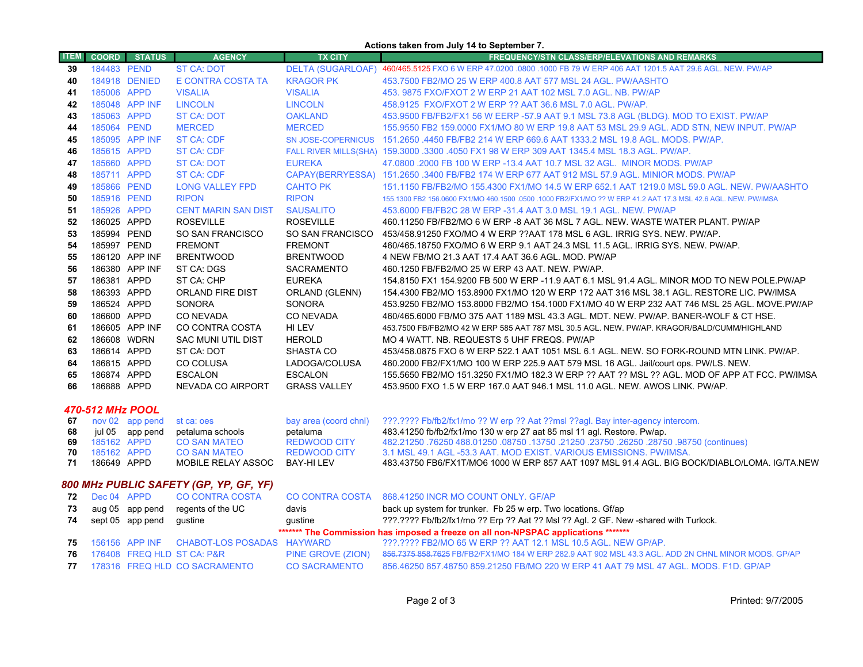#### **Actions taken from July 14 to September 7.**

| <b>ITEM</b>                            | <b>COORD</b> | <b>STATUS</b>   | <b>AGENCY</b>              | <b>TX CITY</b>        | <b>FREQUENCY/STN CLASS/ERP/ELEVATIONS AND REMARKS</b>                                                              |  |  |  |
|----------------------------------------|--------------|-----------------|----------------------------|-----------------------|--------------------------------------------------------------------------------------------------------------------|--|--|--|
| 39                                     | 184483 PEND  |                 | <b>ST CA: DOT</b>          |                       | DELTA (SUGARLOAF) 460/465.5125 FXO 6 W ERP 47.0200 .0800 .1000 FB 79 W ERP 406 AAT 1201.5 AAT 29.6 AGL. NEW. PW/AP |  |  |  |
| 40                                     |              | 184918 DENIED   | E CONTRA COSTA TA          | <b>KRAGOR PK</b>      | 453.7500 FB2/MO 25 W ERP 400.8 AAT 577 MSL 24 AGL. PW/AASHTO                                                       |  |  |  |
| 41                                     | 185006 APPD  |                 | <b>VISALIA</b>             | <b>VISALIA</b>        | 453, 9875 FXO/FXOT 2 W ERP 21 AAT 102 MSL 7.0 AGL, NB, PW/AP                                                       |  |  |  |
| 42                                     |              | 185048 APP INF  | <b>LINCOLN</b>             | <b>LINCOLN</b>        | 458.9125 FXO/FXOT 2 W ERP ?? AAT 36.6 MSL 7.0 AGL. PW/AP.                                                          |  |  |  |
| 43                                     | 185063 APPD  |                 | <b>ST CA: DOT</b>          | <b>OAKLAND</b>        | 453.9500 FB/FB2/FX1 56 W EERP -57.9 AAT 9.1 MSL 73.8 AGL (BLDG). MOD TO EXIST. PW/AP                               |  |  |  |
| 44                                     | 185064 PEND  |                 | <b>MERCED</b>              | <b>MERCED</b>         | 155.9550 FB2 159.0000 FX1/MO 80 W ERP 19.8 AAT 53 MSL 29.9 AGL. ADD STN, NEW INPUT. PW/AP                          |  |  |  |
| 45                                     |              | 185095 APP INF  | <b>ST CA: CDF</b>          |                       | SN JOSE-COPERNICUS 151.2650 .4450 FB/FB2 214 W ERP 669.6 AAT 1333.2 MSL 19.8 AGL, MODS, PW/AP.                     |  |  |  |
| 46                                     | 185615 APPD  |                 | <b>ST CA: CDF</b>          |                       | FALL RIVER MILLS(SHA) 159.3000 .3300 .4050 FX1 98 W ERP 309 AAT 1345.4 MSL 18.3 AGL. PW/AP.                        |  |  |  |
| 47                                     | 185660 APPD  |                 | <b>ST CA: DOT</b>          | <b>EUREKA</b>         | 47.0800 .2000 FB 100 W ERP -13.4 AAT 10.7 MSL 32 AGL. MINOR MODS. PW/AP                                            |  |  |  |
| 48                                     | 185711 APPD  |                 | <b>ST CA: CDF</b>          |                       | CAPAY(BERRYESSA) 151.2650 .3400 FB/FB2 174 W ERP 677 AAT 912 MSL 57.9 AGL. MINIOR MODS. PW/AP                      |  |  |  |
| 49                                     | 185866 PEND  |                 | <b>LONG VALLEY FPD</b>     | <b>CAHTO PK</b>       | 151.1150 FB/FB2/MO 155.4300 FX1/MO 14.5 W ERP 652.1 AAT 1219.0 MSL 59.0 AGL. NEW. PW/AASHTO                        |  |  |  |
| 50                                     | 185916 PEND  |                 | <b>RIPON</b>               | <b>RIPON</b>          | 155,1300 FB2 156,0600 FX1/MO 460,1500 ,0500 ,1000 FB2/FX1/MO ?? W ERP 41.2 AAT 17.3 MSL 42.6 AGL, NEW, PW/IMSA     |  |  |  |
| 51                                     | 185926 APPD  |                 | <b>CENT MARIN SAN DIST</b> | <b>SAUSALITO</b>      | 453,6000 FB/FB2C 28 W ERP -31.4 AAT 3.0 MSL 19.1 AGL, NEW, PW/AP                                                   |  |  |  |
| 52                                     | 186025 APPD  |                 | <b>ROSEVILLE</b>           | <b>ROSEVILLE</b>      | 460.11250 FB/FB2/MO 6 W ERP -8 AAT 36 MSL 7 AGL. NEW. WASTE WATER PLANT. PW/AP                                     |  |  |  |
| 53                                     | 185994 PEND  |                 | SO SAN FRANCISCO           | SO SAN FRANCISCO      | 453/458.91250 FXO/MO 4 W ERP ??AAT 178 MSL 6 AGL. IRRIG SYS. NEW. PW/AP.                                           |  |  |  |
| 54                                     | 185997 PEND  |                 | <b>FREMONT</b>             | <b>FREMONT</b>        | 460/465.18750 FXO/MO 6 W ERP 9.1 AAT 24.3 MSL 11.5 AGL. IRRIG SYS. NEW. PW/AP.                                     |  |  |  |
| 55                                     |              | 186120 APP INF  | <b>BRENTWOOD</b>           | <b>BRENTWOOD</b>      | 4 NEW FB/MO 21.3 AAT 17.4 AAT 36.6 AGL, MOD, PW/AP                                                                 |  |  |  |
| 56                                     |              | 186380 APP INF  | ST CA: DGS                 | <b>SACRAMENTO</b>     | 460.1250 FB/FB2/MO 25 W ERP 43 AAT, NEW, PW/AP,                                                                    |  |  |  |
| 57                                     | 186381 APPD  |                 | ST CA: CHP                 | <b>EUREKA</b>         | 154.8150 FX1 154.9200 FB 500 W ERP -11.9 AAT 6.1 MSL 91.4 AGL. MINOR MOD TO NEW POLE PW/AP                         |  |  |  |
| 58                                     | 186393 APPD  |                 | <b>ORLAND FIRE DIST</b>    | ORLAND (GLENN)        | 154.4300 FB2/MO 153.8900 FX1/MO 120 W ERP 172 AAT 316 MSL 38.1 AGL, RESTORE LIC, PW/IMSA                           |  |  |  |
| 59                                     | 186524 APPD  |                 | <b>SONORA</b>              | <b>SONORA</b>         | 453.9250 FB2/MO 153.8000 FB2/MO 154.1000 FX1/MO 40 W ERP 232 AAT 746 MSL 25 AGL. MOVE.PW/AP                        |  |  |  |
| 60                                     | 186600 APPD  |                 | <b>CO NEVADA</b>           | CO NEVADA             | 460/465.6000 FB/MO 375 AAT 1189 MSL 43.3 AGL, MDT, NEW, PW/AP, BANER-WOLF & CT HSE.                                |  |  |  |
| 61                                     |              | 186605 APP INF  | CO CONTRA COSTA            | HI LEV                | 453.7500 FB/FB2/MO 42 W ERP 585 AAT 787 MSL 30.5 AGL. NEW. PW/AP. KRAGOR/BALD/CUMM/HIGHLAND                        |  |  |  |
| 62                                     | 186608 WDRN  |                 | <b>SAC MUNI UTIL DIST</b>  | <b>HEROLD</b>         | MO 4 WATT. NB. REQUESTS 5 UHF FREQS. PW/AP                                                                         |  |  |  |
| 63                                     | 186614 APPD  |                 | ST CA: DOT                 | SHASTA CO             | 453/458.0875 FXO 6 W ERP 522.1 AAT 1051 MSL 6.1 AGL. NEW. SO FORK-ROUND MTN LINK, PW/AP.                           |  |  |  |
| 64                                     | 186815 APPD  |                 | CO COLUSA                  | LADOGA/COLUSA         | 460.2000 FB2/FX1/MO 100 W ERP 225.9 AAT 579 MSL 16 AGL. Jail/court ops. PW/LS. NEW.                                |  |  |  |
| 65                                     | 186874 APPD  |                 | <b>ESCALON</b>             | <b>ESCALON</b>        | 155.5650 FB2/MO 151.3250 FX1/MO 182.3 W ERP ?? AAT ?? MSL ?? AGL. MOD OF APP AT FCC. PW/IMSA                       |  |  |  |
| 66                                     | 186888 APPD  |                 | NEVADA CO AIRPORT          | <b>GRASS VALLEY</b>   | 453,9500 FXO 1.5 W ERP 167.0 AAT 946.1 MSL 11.0 AGL. NEW, AWOS LINK, PW/AP.                                        |  |  |  |
| 470-512 MHz POOL                       |              |                 |                            |                       |                                                                                                                    |  |  |  |
| 67                                     |              | nov 02 app pend | st ca: oes                 | bay area (coord chnl) | ???.???? Fb/fb2/fx1/mo ?? W erp ?? Aat ??msl ??aql. Bay inter-agency intercom.                                     |  |  |  |
| 68                                     | jul 05       | app pend        | petaluma schools           | petaluma              | 483.41250 fb/fb2/fx1/mo 130 w erp 27 aat 85 msl 11 agl. Restore. Pw/ap.                                            |  |  |  |
| 69                                     | 185162 APPD  |                 | <b>CO SAN MATEO</b>        | <b>REDWOOD CITY</b>   | 482.21250 .76250 488.01250 .08750 .13750 .21250 .23750 .26250 .28750 .98750 (continues)                            |  |  |  |
| 70                                     | 185162 APPD  |                 | <b>CO SAN MATEO</b>        | <b>REDWOOD CITY</b>   | 3.1 MSL 49.1 AGL -53.3 AAT. MOD EXIST. VARIOUS EMISSIONS. PW/IMSA.                                                 |  |  |  |
| 71                                     | 186649 APPD  |                 | MOBILE RELAY ASSOC         | <b>BAY-HILEV</b>      | 483.43750 FB6/FX1T/MO6 1000 W ERP 857 AAT 1097 MSL 91.4 AGL. BIG BOCK/DIABLO/LOMA. IG/TA.NEW                       |  |  |  |
| 800 MHz PUBLIC SAFETY (GP, YP, GF, YF) |              |                 |                            |                       |                                                                                                                    |  |  |  |
| 72                                     | Dec 04 APPD  |                 | <b>CO CONTRA COSTA</b>     |                       | CO CONTRA COSTA 868.41250 INCR MO COUNT ONLY. GF/AP                                                                |  |  |  |

|                                                                                    |  |  |                                                                                                                                                                                          | <b>CO CONTRA COSTA - 868.41250 INCR MO COUNT ONLY. GF/AP</b>                                        |  |  |
|------------------------------------------------------------------------------------|--|--|------------------------------------------------------------------------------------------------------------------------------------------------------------------------------------------|-----------------------------------------------------------------------------------------------------|--|--|
|                                                                                    |  |  | davis                                                                                                                                                                                    | back up system for trunker. Fb 25 w erp. Two locations. Gf/ap                                       |  |  |
|                                                                                    |  |  | qustine                                                                                                                                                                                  | ???.???? Fb/fb2/fx1/mo ?? Erp ?? Aat ?? Msl ?? Agl. 2 GF. New -shared with Turlock.                 |  |  |
| ******* The Commission has imposed a freeze on all non-NPSPAC applications ******* |  |  |                                                                                                                                                                                          |                                                                                                     |  |  |
|                                                                                    |  |  |                                                                                                                                                                                          | ???.???? FB2/MO 65 W ERP ?? AAT 12.1 MSL 10.5 AGL. NEW GP/AP.                                       |  |  |
|                                                                                    |  |  |                                                                                                                                                                                          | 856.7375 858.7625 FB/FB2/FX1/MO 184 W ERP 282.9 AAT 902 MSL 43.3 AGL. ADD 2N CHNL MINOR MODS. GP/AP |  |  |
|                                                                                    |  |  |                                                                                                                                                                                          | CO SACRAMENTO 856.46250 857.48750 859.21250 FB/MO 220 W ERP 41 AAT 79 MSL 47 AGL, MODS, F1D, GP/AP  |  |  |
|                                                                                    |  |  | <b>12</b> Dec 04 APPD CO CONTRA COSTA<br>73 aug 05 app pend regents of the UC<br>74 sept 05 app pend gustine<br><b>76</b> 176408 FREQ HLD ST CA: P&R<br>77 178316 FREQ HLD CO SACRAMENTO | 75 156156 APP INF CHABOT-LOS POSADAS HAYWARD<br>PINE GROVE (ZION)                                   |  |  |